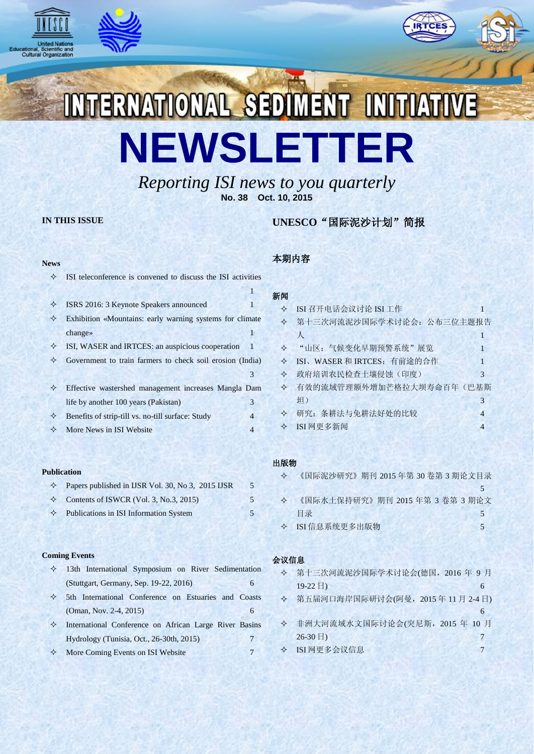





# INTERNATIONAL SEDIMENT INITIATIVE **NEWSLETTER**

*Reporting ISI news to you quarterly* **No. 38 Oct. 10, 2015**

# **IN THIS ISSUE**

# **UNESCO**"国际泥沙计划"简报

## **News**

| ✧ | ISI teleconference is convened to discuss the ISI activities |    |  |
|---|--------------------------------------------------------------|----|--|
|   |                                                              |    |  |
| ✧ | ISRS 2016: 3 Keynote Speakers announced                      |    |  |
| ✧ | Exhibition «Mountains: early warning systems for climate     |    |  |
|   | change $\ast$                                                |    |  |
| ✧ | ISI, WASER and IRTCES: an auspicious cooperation             | -1 |  |
| ✧ | Government to train farmers to check soil erosion (India)    |    |  |
|   |                                                              | 3  |  |
| ✧ | Effective wastershed management increases Mangla Dam         |    |  |
|   | life by another 100 years (Pakistan)                         | 3  |  |
| ✧ | Benefits of strip-till vs. no-till surface: Study            | 4  |  |
| ✧ | More News in ISI Website                                     | 4  |  |
|   |                                                              |    |  |

## **Publication**

| $\Diamond$ Papers published in IJSR Vol. 30, No 3, 2015 IJSR | 5 |
|--------------------------------------------------------------|---|
| $\diamond$ Contents of ISWCR (Vol. 3, No.3, 2015)            |   |
| $\Diamond$ Publications in ISI Information System            |   |

## **Coming Events**

 13th International Symposium on River Sedimentation (Stuttgart, Germany, Sep. 19-22, 2016) 6 5th International Conference on Estuaries and Coasts (Oman, Nov. 2-4, 2015) 6 International Conference on African Large River Basins Hydrology (Tunisia, Oct., 26-30th, 2015) 7 ◆ More Coming Events on ISI Website 7

# 本期内容

# 新闻 ◆ ISI 召开电话会议讨论 ISI 工作 1 第十三次河流泥沙国际学术讨论会:公布三位主题报告  $\lambda$  , we have a set of  $\lambda$  in the set of  $\lambda$  is a set of  $\lambda$ ◆ "山区:气候变化早期预警系统"展览 1 ◆ ISI、WASER 和 IRTCES: 有前途的合作 1 政府培训农民检查土壤侵蚀(印度) 3 有效的流域管理额外增加芒格拉大坝寿命百年(巴基斯 坦) 3 研究:条耕法与免耕法好处的比较 4  $\diamond$  ISI 网更多新闻 4

## 出版物

| $\leftrightarrow$ | 《国际泥沙研究》期刊 2015年第 30卷第 3 期论文目录 |  |
|-------------------|--------------------------------|--|
|                   |                                |  |
| $\leftrightarrow$ | 《国际水土保持研究》期刊 2015年第3卷第3期论文     |  |
|                   | 目录                             |  |
|                   | ◆ ISI 信息系统更多出版物                |  |
|                   |                                |  |

# 会议信息

| ❖ 第十三次河流泥沙国际学术讨论会(德国,2016 年 9 月 |  |
|---------------------------------|--|
| $19-22 \pm 1$                   |  |

| � 第五届河口海岸国际研讨会(阿曼,2015 年 11 月 2-4 日) |  |  |  |
|--------------------------------------|--|--|--|
|                                      |  |  |  |
| ❖ 非洲大河流域水文国际讨论会(突尼斯,2015 年 10 月)     |  |  |  |

| $\frac{1}{2}$ , $\frac{1}{2}$ , $\frac{1}{2}$ , $\frac{1}{2}$ , $\frac{1}{2}$ , $\frac{1}{2}$ , $\frac{1}{2}$ , $\frac{1}{2}$ , $\frac{1}{2}$ , $\frac{1}{2}$ , $\frac{1}{2}$ , $\frac{1}{2}$ , $\frac{1}{2}$ , $\frac{1}{2}$ , $\frac{1}{2}$ , $\frac{1}{2}$ , $\frac{1}{2}$ , $\frac{1}{2}$ , $\frac{1$ |  |
|-----------------------------------------------------------------------------------------------------------------------------------------------------------------------------------------------------------------------------------------------------------------------------------------------------------|--|
| $26-30 \exists$                                                                                                                                                                                                                                                                                           |  |
| ◆ ISI 网更多会议信息                                                                                                                                                                                                                                                                                             |  |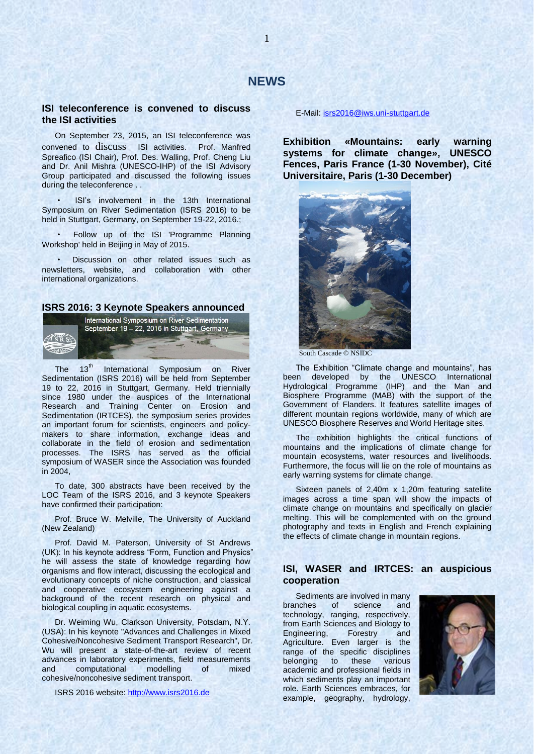## **ISI teleconference is convened to discuss the ISI activities**

On September 23, 2015, an ISI teleconference was convened to discuss ISI activities. Prof. Manfred Spreafico (ISI Chair), Prof. Des. Walling, Prof. Cheng Liu and Dr. Anil Mishra (UNESCO-IHP) of the ISI Advisory Group participated and discussed the following issues during the teleconference . .

· ISI's involvement in the 13th International Symposium on River Sedimentation (ISRS 2016) to be held in Stuttgart, Germany, on September 19-22, 2016.;

Follow up of the ISI 'Programme Planning Workshop' held in Beijing in May of 2015.

Discussion on other related issues such as newsletters, website, and collaboration with other international organizations.

## **ISRS 2016: 3 Keynote Speakers announced**



The 13<sup>th</sup> International Symposium on River Sedimentation (ISRS 2016) will be held from September 19 to 22, 2016 in Stuttgart, Germany. Held triennially since 1980 under the auspices of the International Research and Training Center on Erosion and Sedimentation (IRTCES), the symposium series provides an important forum for scientists, engineers and policymakers to share information, exchange ideas and collaborate in the field of erosion and sedimentation processes. The ISRS has served as the official symposium of WASER since the Association was founded in 2004,

To date, 300 abstracts have been received by the LOC Team of the ISRS 2016, and 3 keynote Speakers have confirmed their participation:

Prof. Bruce W. Melville, The University of Auckland (New Zealand)

Prof. David M. Paterson, University of St Andrews (UK): In his keynote address "Form, Function and Physics" he will assess the state of knowledge regarding how organisms and flow interact, discussing the ecological and evolutionary concepts of niche construction, and classical and cooperative ecosystem engineering against a background of the recent research on physical and biological coupling in aquatic ecosystems.

Dr. Weiming Wu, Clarkson University, Potsdam, N.Y. (USA): In his keynote "Advances and Challenges in Mixed Cohesive/Noncohesive Sediment Transport Research", Dr. Wu will present a state-of-the-art review of recent advances in laboratory experiments, field measurements and computational modelling of mixed cohesive/noncohesive sediment transport.

ISRS 2016 website: [http://www.isrs2016.de](http://www.isrs2016.de/)

E-Mail[: isrs2016@iws.uni-stuttgart.de](mailto:isrs2016@iws.uni-stuttgart.de)

**Exhibition «Mountains: early warning systems for climate change», UNESCO Fences, Paris France (1-30 November), Cité Universitaire, Paris (1-30 December)**



South Cascade © NSIDC

The Exhibition "Climate change and mountains", has been developed by the UNESCO International Hydrological Programme (IHP) and the Man and Biosphere Programme (MAB) with the support of the Government of Flanders. It features satellite images of different mountain regions worldwide, many of which are UNESCO Biosphere Reserves and World Heritage sites.

The exhibition highlights the critical functions of mountains and the implications of climate change for mountain ecosystems, water resources and livelihoods. Furthermore, the focus will lie on the role of mountains as early warning systems for climate change.

Sixteen panels of 2,40m x 1,20m featuring satellite images across a time span will show the impacts of climate change on mountains and specifically on glacier melting. This will be complemented with on the ground photography and texts in English and French explaining the effects of climate change in mountain regions.

## **ISI, WASER and IRTCES: an auspicious cooperation**

Sediments are involved in many branches of science and technology, ranging, respectively, from Earth Sciences and Biology to Engineering, Forestry and Agriculture. Even larger is the range of the specific disciplines belonging to these various academic and professional fields in which sediments play an important role. Earth Sciences embraces, for example, geography, hydrology,

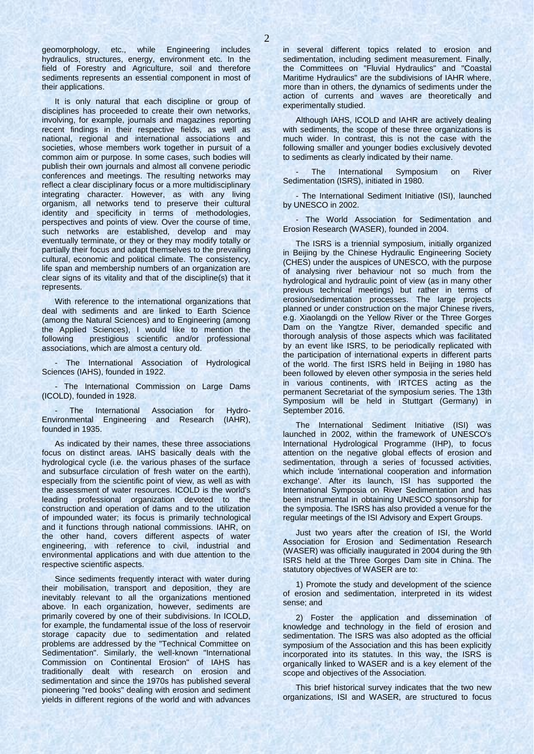geomorphology, etc., while Engineering includes hydraulics, structures, energy, environment etc. In the field of Forestry and Agriculture, soil and therefore sediments represents an essential component in most of their applications.

It is only natural that each discipline or group of disciplines has proceeded to create their own networks, involving, for example, journals and magazines reporting recent findings in their respective fields, as well as national, regional and international associations and societies, whose members work together in pursuit of a common aim or purpose. In some cases, such bodies will publish their own journals and almost all convene periodic conferences and meetings. The resulting networks may reflect a clear disciplinary focus or a more multidisciplinary integrating character. However, as with any living organism, all networks tend to preserve their cultural identity and specificity in terms of methodologies, perspectives and points of view. Over the course of time, such networks are established, develop and may eventually terminate, or they or they may modify totally or partially their focus and adapt themselves to the prevailing cultural, economic and political climate. The consistency, life span and membership numbers of an organization are clear signs of its vitality and that of the discipline(s) that it represents.

With reference to the international organizations that deal with sediments and are linked to Earth Science (among the Natural Sciences) and to Engineering (among the Applied Sciences), I would like to mention the following prestigious scientific and/or professional associations, which are almost a century old.

- The International Association of Hydrological Sciences (IAHS), founded in 1922.

- The International Commission on Large Dams (ICOLD), founded in 1928.

The International Association for Hydro-Environmental Engineering and Research (IAHR), founded in 1935.

As indicated by their names, these three associations focus on distinct areas. IAHS basically deals with the hydrological cycle (i.e. the various phases of the surface and subsurface circulation of fresh water on the earth), especially from the scientific point of view, as well as with the assessment of water resources. ICOLD is the world's leading professional organization devoted to the construction and operation of dams and to the utilization of impounded water; its focus is primarily technological and it functions through national commissions. IAHR, on the other hand, covers different aspects of water engineering, with reference to civil, industrial and environmental applications and with due attention to the respective scientific aspects.

Since sediments frequently interact with water during their mobilisation, transport and deposition, they are inevitably relevant to all the organizations mentioned above. In each organization, however, sediments are primarily covered by one of their subdivisions. In ICOLD, for example, the fundamental issue of the loss of reservoir storage capacity due to sedimentation and related problems are addressed by the "Technical Committee on Sedimentation". Similarly, the well-known "International Commission on Continental Erosion" of IAHS has traditionally dealt with research on erosion and sedimentation and since the 1970s has published several pioneering "red books" dealing with erosion and sediment yields in different regions of the world and with advances

in several different topics related to erosion and sedimentation, including sediment measurement. Finally, the Committees on "Fluvial Hydraulics" and "Coastal Maritime Hydraulics" are the subdivisions of IAHR where, more than in others, the dynamics of sediments under the action of currents and waves are theoretically and experimentally studied.

Although IAHS, ICOLD and IAHR are actively dealing with sediments, the scope of these three organizations is much wider. In contrast, this is not the case with the following smaller and younger bodies exclusively devoted to sediments as clearly indicated by their name.

The International Symposium on River Sedimentation (ISRS), initiated in 1980.

- The International Sediment Initiative (ISI), launched by UNESCO in 2002.

- The World Association for Sedimentation and Erosion Research (WASER), founded in 2004.

The ISRS is a triennial symposium, initially organized in Beijing by the Chinese Hydraulic Engineering Society (CHES) under the auspices of UNESCO, with the purpose of analysing river behaviour not so much from the hydrological and hydraulic point of view (as in many other previous technical meetings) but rather in terms of erosion/sedimentation processes. The large projects planned or under construction on the major Chinese rivers, e.g. Xiaolangdi on the Yellow River or the Three Gorges Dam on the Yangtze River, demanded specific and thorough analysis of those aspects which was facilitated by an event like ISRS, to be periodically replicated with the participation of international experts in different parts of the world. The first ISRS held in Beijing in 1980 has been followed by eleven other symposia in the series held in various continents, with IRTCES acting as the permanent Secretariat of the symposium series. The 13th Symposium will be held in Stuttgart (Germany) in September 2016.

The International Sediment Initiative (ISI) was launched in 2002, within the framework of UNESCO's International Hydrological Programme (IHP), to focus attention on the negative global effects of erosion and sedimentation, through a series of focussed activities, which include 'international cooperation and information exchange'. After its launch, ISI has supported the International Symposia on River Sedimentation and has been instrumental in obtaining UNESCO sponsorship for the symposia. The ISRS has also provided a venue for the regular meetings of the ISI Advisory and Expert Groups.

Just two years after the creation of ISI, the World Association for Erosion and Sedimentation Research (WASER) was officially inaugurated in 2004 during the 9th ISRS held at the Three Gorges Dam site in China. The statutory objectives of WASER are to:

1) Promote the study and development of the science of erosion and sedimentation, interpreted in its widest sense; and

2) Foster the application and dissemination of knowledge and technology in the field of erosion and sedimentation. The ISRS was also adopted as the official symposium of the Association and this has been explicitly incorporated into its statutes. In this way, the ISRS is organically linked to WASER and is a key element of the scope and objectives of the Association.

This brief historical survey indicates that the two new organizations, ISI and WASER, are structured to focus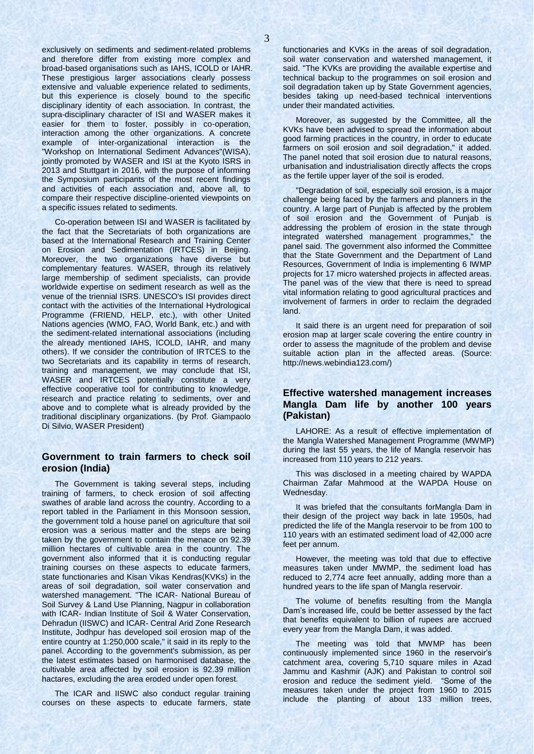exclusively on sediments and sediment-related problems and therefore differ from existing more complex and broad-based organisations such as IAHS, ICOLD or IAHR. These prestigious larger associations clearly possess extensive and valuable experience related to sediments, but this experience is closely bound to the specific disciplinary identity of each association. In contrast, the supra-disciplinary character of ISI and WASER makes it easier for them to foster, possibly in co-operation, interaction among the other organizations. A concrete example of inter-organizational interaction is the "Workshop on International Sediment Advances"(WISA), jointly promoted by WASER and ISI at the Kyoto ISRS in 2013 and Stuttgart in 2016, with the purpose of informing the Symposium participants of the most recent findings and activities of each association and, above all, to compare their respective discipline-oriented viewpoints on a specific issues related to sediments.

Co-operation between ISI and WASER is facilitated by the fact that the Secretariats of both organizations are based at the International Research and Training Center on Erosion and Sedimentation (IRTCES) in Beijing. Moreover, the two organizations have diverse but complementary features. WASER, through its relatively large membership of sediment specialists, can provide worldwide expertise on sediment research as well as the venue of the triennial ISRS. UNESCO's ISI provides direct contact with the activities of the International Hydrological Programme (FRIEND, HELP, etc.), with other United Nations agencies (WMO, FAO, World Bank, etc.) and with the sediment-related international associations (including the already mentioned IAHS, ICOLD, IAHR, and many others). If we consider the contribution of IRTCES to the two Secretariats and its capability in terms of research, training and management, we may conclude that ISI, WASER and IRTCES potentially constitute a very effective cooperative tool for contributing to knowledge, research and practice relating to sediments, over and above and to complete what is already provided by the traditional disciplinary organizations. (by Prof. Giampaolo Di Silvio, WASER President)

## **Government to train farmers to check soil erosion (India)**

The Government is taking several steps, including training of farmers, to check erosion of soil affecting swathes of arable land across the country. According to a report tabled in the Parliament in this Monsoon session, the government told a house panel on agriculture that soil erosion was a serious matter and the steps are being taken by the government to contain the menace on 92.39 million hectares of cultivable area in the country. The government also informed that it is conducting regular training courses on these aspects to educate farmers, state functionaries and Kisan Vikas Kendras(KVKs) in the areas of soil degradation, soil water conservation and watershed management. "The ICAR- National Bureau of Soil Survey & Land Use Planning, Nagpur in collaboration with ICAR- Indian Institute of Soil & Water Conservation, Dehradun (IISWC) and ICAR- Central Arid Zone Research Institute, Jodhpur has developed soil erosion map of the entire country at 1:250,000 scale," it said in its reply to the panel. According to the government's submission, as per the latest estimates based on harmonised database, the cultivable area affected by soil erosion is 92.39 million hactares, excluding the area eroded under open forest.

The ICAR and IISWC also conduct regular training courses on these aspects to educate farmers, state functionaries and KVKs in the areas of soil degradation, soil water conservation and watershed management, it said. "The KVKs are providing the available expertise and technical backup to the programmes on soil erosion and soil degradation taken up by State Government agencies, besides taking up need-based technical interventions under their mandated activities.

Moreover, as suggested by the Committee, all the KVKs have been advised to spread the information about good farming practices in the country, in order to educate farmers on soil erosion and soil degradation," it added. The panel noted that soil erosion due to natural reasons, urbanisation and industrialisation directly affects the crops as the fertile upper layer of the soil is eroded.

"Degradation of soil, especially soil erosion, is a major challenge being faced by the farmers and planners in the country. A large part of Punjab is affected by the problem of soil erosion and the Government of Punjab is addressing the problem of erosion in the state through integrated watershed management programmes," the panel said. The government also informed the Committee that the State Government and the Department of Land Resources, Government of India is implementing 6 IWMP projects for 17 micro watershed projects in affected areas. The panel was of the view that there is need to spread vital information relating to good agricultural practices and involvement of farmers in order to reclaim the degraded land.

It said there is an urgent need for preparation of soil erosion map at larger scale covering the entire country in order to assess the magnitude of the problem and devise suitable action plan in the affected areas. (Source: http://news.webindia123.com/)

## **Effective watershed management increases Mangla Dam life by another 100 years (Pakistan)**

LAHORE: As a result of effective implementation of the Mangla Watershed Management Programme (MWMP) during the last 55 years, the life of Mangla reservoir has increased from 110 years to 212 years.

This was disclosed in a meeting chaired by WAPDA Chairman Zafar Mahmood at the WAPDA House on Wednesday.

It was briefed that the consultants forMangla Dam in their design of the project way back in late 1950s, had predicted the life of the Mangla reservoir to be from 100 to 110 years with an estimated sediment load of 42,000 acre feet per annum.

However, the meeting was told that due to effective measures taken under MWMP, the sediment load has reduced to 2,774 acre feet annually, adding more than a hundred years to the life span of Mangla reservoir.

The volume of benefits resulting from the Mangla Dam's increased life, could be better assessed by the fact that benefits equivalent to billion of rupees are accrued every year from the Mangla Dam, it was added.

The meeting was told that MWMP has been continuously implemented since 1960 in the reservoir's catchment area, covering 5,710 square miles in Azad Jammu and Kashmir (AJK) and Pakistan to control soil erosion and reduce the sediment yield. "Some of the measures taken under the project from 1960 to 2015 include the planting of about 133 million trees,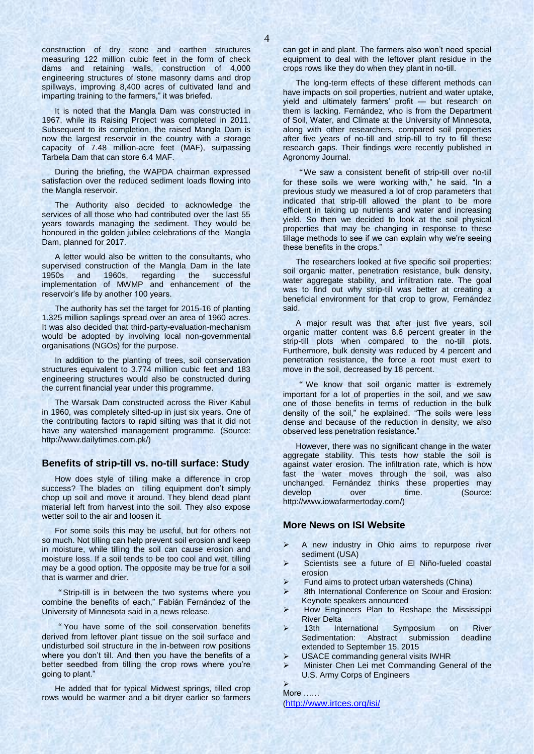construction of dry stone and earthen structures measuring 122 million cubic feet in the form of check dams and retaining walls, construction of 4,000 engineering structures of stone masonry dams and drop spillways, improving 8,400 acres of cultivated land and imparting training to the farmers," it was briefed.

It is noted that the Mangla Dam was constructed in 1967, while its Raising Project was completed in 2011. Subsequent to its completion, the raised Mangla Dam is now the largest reservoir in the country with a storage capacity of 7.48 million-acre feet (MAF), surpassing Tarbela Dam that can store 6.4 MAF.

During the briefing, the WAPDA chairman expressed satisfaction over the reduced sediment loads flowing into the Mangla reservoir.

The Authority also decided to acknowledge the services of all those who had contributed over the last 55 years towards managing the sediment. They would be honoured in the golden jubilee celebrations of the Mangla Dam, planned for 2017.

A letter would also be written to the consultants, who supervised construction of the Mangla Dam in the late<br>1950s and 1960s, regarding the successful 1950s and 1960s, regarding the implementation of MWMP and enhancement of the reservoir's life by another 100 years.

The authority has set the target for 2015-16 of planting 1.325 million saplings spread over an area of 1960 acres. It was also decided that third-party-evaluation-mechanism would be adopted by involving local non-governmental organisations (NGOs) for the purpose.

In addition to the planting of trees, soil conservation structures equivalent to 3.774 million cubic feet and 183 engineering structures would also be constructed during the current financial year under this programme.

The Warsak Dam constructed across the River Kabul in 1960, was completely silted-up in just six years. One of the contributing factors to rapid silting was that it did not have any watershed management programme. (Source: http://www.dailytimes.com.pk/)

## **Benefits of strip-till vs. no-till surface: Study**

How does style of tilling make a difference in crop success? The blades on tilling equipment don't simply chop up soil and move it around. They blend dead plant material left from harvest into the soil. They also expose wetter soil to the air and loosen it.

For some soils this may be useful, but for others not so much. Not tilling can help prevent soil erosion and keep in moisture, while tilling the soil can cause erosion and moisture loss. If a soil tends to be too cool and wet, tilling may be a good option. The opposite may be true for a soil that is warmer and drier.

"Strip-till is in between the two systems where you combine the benefits of each," Fabián Fernández of the University of Minnesota said in a news release.

"You have some of the soil conservation benefits derived from leftover plant tissue on the soil surface and undisturbed soil structure in the in-between row positions where you don't till. And then you have the benefits of a better seedbed from tilling the crop rows where you're going to plant."

He added that for typical Midwest springs, tilled crop rows would be warmer and a bit dryer earlier so farmers

can get in and plant. The farmers also won't need special equipment to deal with the leftover plant residue in the crops rows like they do when they plant in no-till.

The long-term effects of these different methods can have impacts on soil properties, nutrient and water uptake, yield and ultimately farmers' profit — but research on them is lacking. Fernández, who is from the Department of Soil, Water, and Climate at the University of Minnesota, along with other researchers, compared soil properties after five years of no-till and strip-till to try to fill these research gaps. Their findings were recently published in Agronomy Journal.

"We saw a consistent benefit of strip-till over no-till for these soils we were working with," he said. "In a previous study we measured a lot of crop parameters that indicated that strip-till allowed the plant to be more efficient in taking up nutrients and water and increasing yield. So then we decided to look at the soil physical properties that may be changing in response to these tillage methods to see if we can explain why we're seeing these benefits in the crops."

The researchers looked at five specific soil properties: soil organic matter, penetration resistance, bulk density, water aggregate stability, and infiltration rate. The goal was to find out why strip-till was better at creating a beneficial environment for that crop to grow, Fernández said.

A major result was that after just five years, soil organic matter content was 8.6 percent greater in the strip-till plots when compared to the no-till plots. Furthermore, bulk density was reduced by 4 percent and penetration resistance, the force a root must exert to move in the soil, decreased by 18 percent.

" We know that soil organic matter is extremely important for a lot of properties in the soil, and we saw one of those benefits in terms of reduction in the bulk density of the soil," he explained. "The soils were less dense and because of the reduction in density, we also observed less penetration resistance."

However, there was no significant change in the water aggregate stability. This tests how stable the soil is against water erosion. The infiltration rate, which is how fast the water moves through the soil, was also unchanged. Fernández thinks these properties may develop over time. (Source: http://www.iowafarmertoday.com/)

## **More News on ISI Website**

- A new industry in Ohio aims to repurpose river sediment (USA)
- Scientists see a future of El Niño-fueled coastal erosion
- Fund aims to protect urban watersheds (China)
- 8th International Conference on Scour and Erosion: Keynote speakers announced
- How Engineers Plan to Reshape the Mississippi River Delta
- 13th International Symposium on River Sedimentation: Abstract submission deadline extended to September 15, 2015
- USACE commanding general visits IWHR
- Minister Chen Lei met Commanding General of the U.S. Army Corps of Engineers

 $\blacktriangleright$ More …… (<http://www.irtces.org/isi/>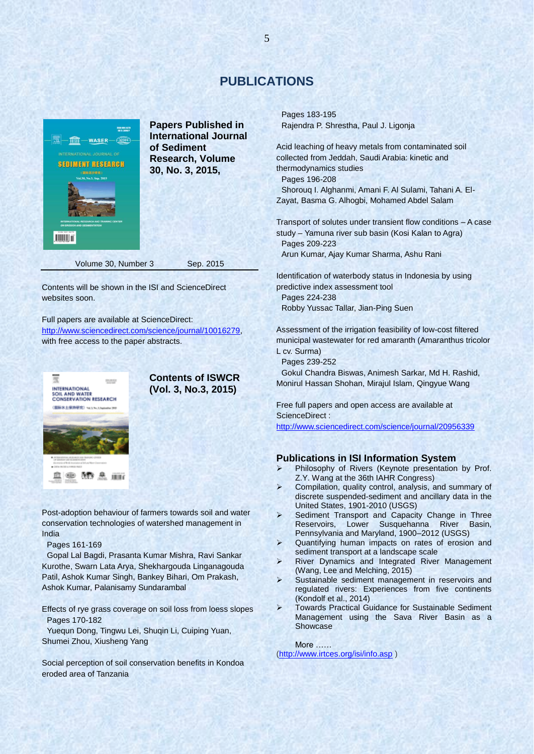# **PUBLICATIONS**



**Papers Published in International Journal of Sediment Research, Volume 30, No. 3, 2015,** 

Contents will be shown in the ISI and ScienceDirect websites soon.

Full papers are available at ScienceDirect: [http://www.sciencedirect.com/science/journal/10016279,](http://www.sciencedirect.com/science/journal/10016279) with free access to the paper abstracts.



**Contents of ISWCR (Vol. 3, No.3, 2015)**

Post-adoption behaviour of farmers towards soil and water conservation technologies of watershed management in India

Pages 161-169

Gopal Lal Bagdi, Prasanta Kumar Mishra, Ravi Sankar Kurothe, Swarn Lata Arya, Shekhargouda Linganagouda Patil, Ashok Kumar Singh, Bankey Bihari, Om Prakash, Ashok Kumar, Palanisamy Sundarambal

Effects of rye grass coverage on soil loss from loess slopes Pages 170-182

Yuequn Dong, Tingwu Lei, Shuqin Li, Cuiping Yuan, Shumei Zhou, Xiusheng Yang

Social perception of soil conservation benefits in Kondoa eroded area of Tanzania

Pages 183-195 Rajendra P. Shrestha, Paul J. Ligonja

Acid leaching of heavy metals from contaminated soil collected from Jeddah, Saudi Arabia: kinetic and thermodynamics studies Pages 196-208

Shorouq I. Alghanmi, Amani F. Al Sulami, Tahani A. El-Zayat, Basma G. Alhogbi, Mohamed Abdel Salam

Transport of solutes under transient flow conditions – A case study – Yamuna river sub basin (Kosi Kalan to Agra) Pages 209-223

Arun Kumar, Ajay Kumar Sharma, Ashu Rani

Identification of waterbody status in Indonesia by using predictive index assessment tool

Pages 224-238

Robby Yussac Tallar, Jian-Ping Suen

Assessment of the irrigation feasibility of low-cost filtered municipal wastewater for red amaranth (Amaranthus tricolor L cv. Surma)

Pages 239-252

Gokul Chandra Biswas, Animesh Sarkar, Md H. Rashid, Monirul Hassan Shohan, Mirajul Islam, Qingyue Wang

Free full papers and open access are available at ScienceDirect :

<http://www.sciencedirect.com/science/journal/20956339>

# **Publications in ISI Information System**

- > Philosophy of Rivers (Keynote presentation by Prof. Z.Y. Wang at the 36th IAHR Congress)
- Compilation, quality control, analysis, and summary of discrete suspended-sediment and ancillary data in the United States, 1901-2010 (USGS)
- $\triangleright$  Sediment Transport and Capacity Change in Three Reservoirs, Lower Susquehanna River Basin, Pennsylvania and Maryland, 1900–2012 (USGS)
- > Quantifying human impacts on rates of erosion and sediment transport at a landscape scale
- River Dynamics and Integrated River Management (Wang, Lee and Melching, 2015)
- $\triangleright$  Sustainable sediment management in reservoirs and regulated rivers: Experiences from five continents (Kondolf et al., 2014)
- Towards Practical Guidance for Sustainable Sediment Management using the Sava River Basin as a Showcase

More …… [\(http://www.irtces.org/isi/info.asp](http://www.irtces.org/isi/info.asp) )

5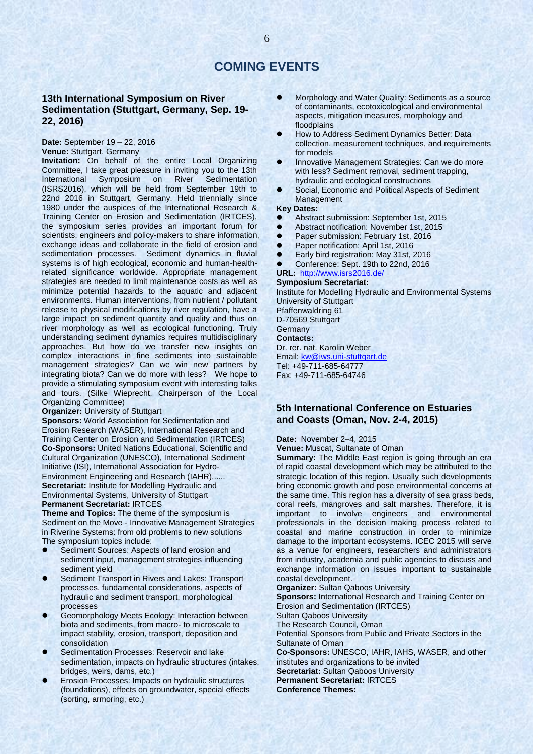# **COMING EVENTS**

# **13th International Symposium on River Sedimentation (Stuttgart, Germany, Sep. 19- 22, 2016)**

**Date:** September 19 – 22, 2016 **Venue:** Stuttgart, Germany

**Invitation:** On behalf of the entire Local Organizing Committee, I take great pleasure in inviting you to the 13th International Symposium on River Sedimentation (ISRS2016), which will be held from September 19th to 22nd 2016 in Stuttgart, Germany. Held triennially since 1980 under the auspices of the International Research & Training Center on Erosion and Sedimentation (IRTCES), the symposium series provides an important forum for scientists, engineers and policy-makers to share information, exchange ideas and collaborate in the field of erosion and sedimentation processes. Sediment dynamics in fluvial systems is of high ecological, economic and human-healthrelated significance worldwide. Appropriate management strategies are needed to limit maintenance costs as well as minimize potential hazards to the aquatic and adjacent environments. Human interventions, from nutrient / pollutant release to physical modifications by river regulation, have a large impact on sediment quantity and quality and thus on river morphology as well as ecological functioning. Truly understanding sediment dynamics requires multidisciplinary approaches. But how do we transfer new insights on complex interactions in fine sediments into sustainable management strategies? Can we win new partners by integrating biota? Can we do more with less? We hope to provide a stimulating symposium event with interesting talks and tours. (Silke Wieprecht, Chairperson of the Local Organizing Committee)

**Organizer:** University of Stuttgart

**Sponsors:** World Association for Sedimentation and Erosion Research (WASER), International Research and Training Center on Erosion and Sedimentation (IRTCES) **Co-Sponsors:** United Nations Educational, Scientific and Cultural Organization (UNESCO), International Sediment Initiative (ISI), International Association for Hydro-Environment Engineering and Research (IAHR)...... **Secretariat:** Institute for Modelling Hydraulic and Environmental Systems, University of Stuttgart **Permanent Secretariat:** IRTCES

**Theme and Topics:** The theme of the symposium is Sediment on the Move - Innovative Management Strategies in Riverine Systems: from old problems to new solutions The symposium topics include:

- Sediment Sources: Aspects of land erosion and sediment input, management strategies influencing sediment yield
- Sediment Transport in Rivers and Lakes: Transport processes, fundamental considerations, aspects of hydraulic and sediment transport, morphological processes
- Geomorphology Meets Ecology: Interaction between biota and sediments, from macro- to microscale to impact stability, erosion, transport, deposition and consolidation
- Sedimentation Processes: Reservoir and lake sedimentation, impacts on hydraulic structures (intakes, bridges, weirs, dams, etc.)
- Erosion Processes: Impacts on hydraulic structures (foundations), effects on groundwater, special effects (sorting, armoring, etc.)
- Morphology and Water Quality: Sediments as a source of contaminants, ecotoxicological and environmental aspects, mitigation measures, morphology and floodplains
- How to Address Sediment Dynamics Better: Data collection, measurement techniques, and requirements for models
- Innovative Management Strategies: Can we do more with less? Sediment removal, sediment trapping, hydraulic and ecological constructions
- Social, Economic and Political Aspects of Sediment Management

#### **Key Dates:**

- Abstract submission: September 1st, 2015
- Abstract notification: November 1st, 2015
- **Paper submission: February 1st, 2016**
- Paper notification: April 1st, 2016
- Early bird registration: May 31st, 2016
- Conference: Sept. 19th to 22nd, 2016

#### **URL:** <http://www.isrs2016.de/> **Symposium Secretariat:**

Institute for Modelling Hydraulic and Environmental Systems University of Stuttgart

Pfaffenwaldring 61 D-70569 Stuttgart

**Germany** 

#### **Contacts:**

Dr. rer. nat. Karolin Weber Email: [kw@iws.uni-stuttgart.de](mailto:kw@iws.uni-stuttgart.de) Tel: +49-711-685-64777 Fax: +49-711-685-64746

# **5th International Conference on Estuaries and Coasts (Oman, Nov. 2-4, 2015)**

**Date:** November 2–4, 2015

**Venue:** Muscat, Sultanate of Oman

**Summary:** The Middle East region is going through an era of rapid coastal development which may be attributed to the strategic location of this region. Usually such developments bring economic growth and pose environmental concerns at the same time. This region has a diversity of sea grass beds, coral reefs, mangroves and salt marshes. Therefore, it is important to involve engineers and environmental professionals in the decision making process related to coastal and marine construction in order to minimize damage to the important ecosystems. ICEC 2015 will serve as a venue for engineers, researchers and administrators from industry, academia and public agencies to discuss and exchange information on issues important to sustainable coastal development.

**Organizer:** Sultan Qaboos University

**Sponsors:** International Research and Training Center on Erosion and Sedimentation (IRTCES)

Sultan Qaboos University

The Research Council, Oman

Potential Sponsors from Public and Private Sectors in the Sultanate of Oman

**Co-Sponsors:** UNESCO, IAHR, IAHS, WASER, and other institutes and organizations to be invited **Secretariat:** Sultan Qaboos University **Permanent Secretariat:** IRTCES **Conference Themes:**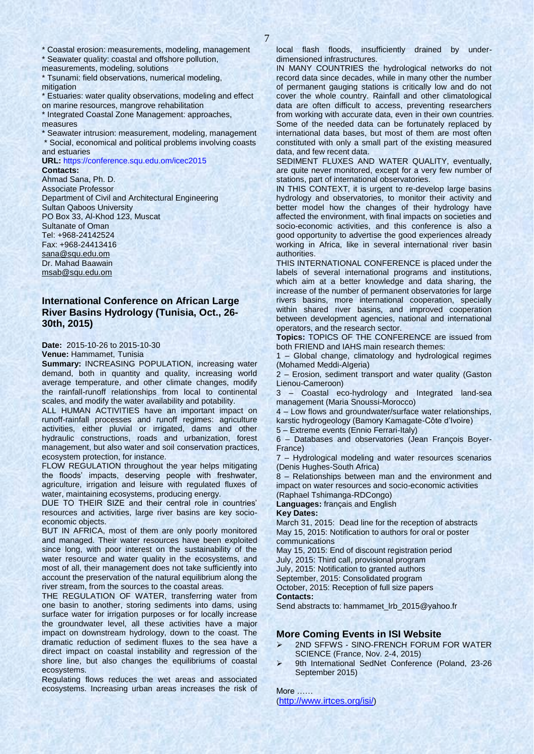\* Coastal erosion: measurements, modeling, management

\* Seawater quality: coastal and offshore pollution, measurements, modeling, solutions

\* Tsunami: field observations, numerical modeling, mitigation

\* Estuaries: water quality observations, modeling and effect on marine resources, mangrove rehabilitation

\* Integrated Coastal Zone Management: approaches, measures

Seawater intrusion: measurement, modeling, management \* Social, economical and political problems involving coasts and estuaries

**URL:** https://conference.squ.edu.om/icec2015

**Contacts:** 

Ahmad Sana, Ph. D. Associate Professor Department of Civil and Architectural Engineering Sultan Qaboos University PO Box 33, Al-Khod 123, Muscat Sultanate of Oman Tel: +968-24142524 Fax: +968-24413416 [sana@squ.edu.om](mailto:sana@squ.edu.om) Dr. Mahad Baawain [msab@squ.edu.om](mailto:msab@squ.edu.om)

# **International Conference on African Large River Basins Hydrology (Tunisia, Oct., 26- 30th, 2015)**

**Date:** 2015-10-26 to 2015-10-30

**Venue:** Hammamet, Tunisia

**Summary:** INCREASING POPULATION, increasing water demand, both in quantity and quality, increasing world average temperature, and other climate changes, modify the rainfall-runoff relationships from local to continental scales, and modify the water availability and potability.

ALL HUMAN ACTIVITIES have an important impact on runoff-rainfall processes and runoff regimes: agriculture activities, either pluvial or irrigated, dams and other hydraulic constructions, roads and urbanization, forest management, but also water and soil conservation practices, ecosystem protection, for instance.

FLOW REGULATION throughout the year helps mitigating the floods' impacts, deserving people with freshwater, agriculture, irrigation and leisure with regulated fluxes of water, maintaining ecosystems, producing energy.

DUE TO THEIR SIZE and their central role in countries' resources and activities, large river basins are key socioeconomic objects.

BUT IN AFRICA, most of them are only poorly monitored and managed. Their water resources have been exploited since long, with poor interest on the sustainability of the water resource and water quality in the ecosystems, and most of all, their management does not take sufficiently into account the preservation of the natural equilibrium along the river stream, from the sources to the coastal areas.

THE REGULATION OF WATER, transferring water from one basin to another, storing sediments into dams, using surface water for irrigation purposes or for locally increase the groundwater level, all these activities have a major impact on downstream hydrology, down to the coast. The dramatic reduction of sediment fluxes to the sea have a direct impact on coastal instability and regression of the shore line, but also changes the equilibriums of coastal ecosystems.

Regulating flows reduces the wet areas and associated ecosystems. Increasing urban areas increases the risk of local flash floods, insufficiently drained by underdimensioned infrastructures.

IN MANY COUNTRIES the hydrological networks do not record data since decades, while in many other the number of permanent gauging stations is critically low and do not cover the whole country. Rainfall and other climatological data are often difficult to access, preventing researchers from working with accurate data, even in their own countries. Some of the needed data can be fortunately replaced by international data bases, but most of them are most often constituted with only a small part of the existing measured data, and few recent data.

SEDIMENT FLUXES AND WATER QUALITY, eventually, are quite never monitored, except for a very few number of stations, part of international observatories.

IN THIS CONTEXT, it is urgent to re-develop large basins hydrology and observatories, to monitor their activity and better model how the changes of their hydrology have affected the environment, with final impacts on societies and socio-economic activities, and this conference is also a good opportunity to advertise the good experiences already working in Africa, like in several international river basin authorities.

THIS INTERNATIONAL CONFERENCE is placed under the labels of several international programs and institutions, which aim at a better knowledge and data sharing, the increase of the number of permanent observatories for large rivers basins, more international cooperation, specially within shared river basins, and improved cooperation between development agencies, national and international operators, and the research sector.

**Topics:** TOPICS OF THE CONFERENCE are issued from both FRIEND and IAHS main research themes:

1 – Global change, climatology and hydrological regimes (Mohamed Meddi-Algeria)

2 – Erosion, sediment transport and water quality (Gaston Lienou-Cameroon)

3 – Coastal eco-hydrology and Integrated land-sea management (Maria Snoussi-Morocco)

4 – Low flows and groundwater/surface water relationships, karstic hydrogeology (Bamory Kamagate-Côte d'Ivoire)

5 – Extreme events (Ennio Ferrari-Italy)

6 – Databases and observatories (Jean François Boyer-France)

7 – Hydrological modeling and water resources scenarios (Denis Hughes-South Africa)

8 – Relationships between man and the environment and impact on water resources and socio-economic activities (Raphael Tshimanga-RDCongo)

**Languages:** français and English

**Key Dates:**

March 31, 2015: Dead line for the reception of abstracts May 15, 2015: Notification to authors for oral or poster communications

May 15, 2015: End of discount registration period

July, 2015: Third call, provisional program

July, 2015: Notification to granted authors September, 2015: Consolidated program

October, 2015: Reception of full size papers

**Contacts:** 

Send abstracts to: hammamet\_lrb\_2015@yahoo.fr

# **More Coming Events in ISI Website**

- 2ND SFFWS SINO-FRENCH FORUM FOR WATER SCIENCE (France, Nov. 2-4, 2015)
- 9th International SedNet Conference (Poland, 23-26 September 2015)

More …… (<http://www.irtces.org/isi/>)